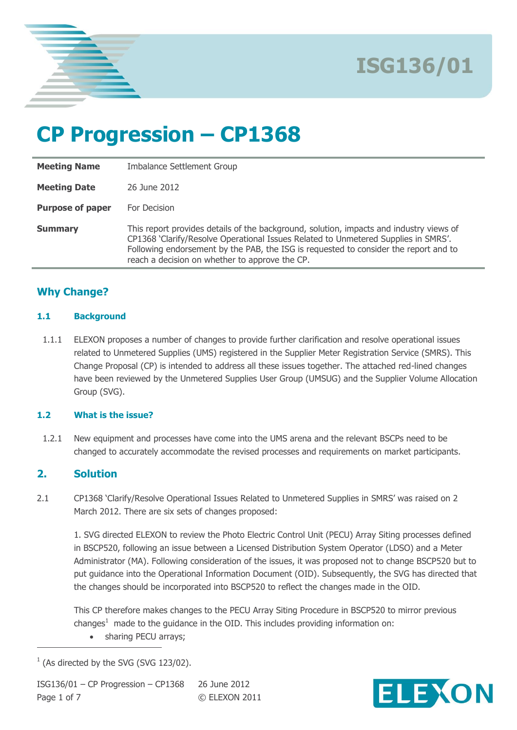

# **CP Progression – CP1368**

| <b>Meeting Name</b>     | <b>Imbalance Settlement Group</b>                                                                                                                                                                                                                                                                                       |  |
|-------------------------|-------------------------------------------------------------------------------------------------------------------------------------------------------------------------------------------------------------------------------------------------------------------------------------------------------------------------|--|
| <b>Meeting Date</b>     | 26 June 2012                                                                                                                                                                                                                                                                                                            |  |
| <b>Purpose of paper</b> | For Decision                                                                                                                                                                                                                                                                                                            |  |
| <b>Summary</b>          | This report provides details of the background, solution, impacts and industry views of<br>CP1368 'Clarify/Resolve Operational Issues Related to Unmetered Supplies in SMRS'.<br>Following endorsement by the PAB, the ISG is requested to consider the report and to<br>reach a decision on whether to approve the CP. |  |

### **Why Change?**

#### **1.1 Background**

1.1.1 ELEXON proposes a number of changes to provide further clarification and resolve operational issues related to Unmetered Supplies (UMS) registered in the Supplier Meter Registration Service (SMRS). This Change Proposal (CP) is intended to address all these issues together. The attached red-lined changes have been reviewed by the Unmetered Supplies User Group (UMSUG) and the Supplier Volume Allocation Group (SVG).

#### **1.2 What is the issue?**

1.2.1 New equipment and processes have come into the UMS arena and the relevant BSCPs need to be changed to accurately accommodate the revised processes and requirements on market participants.

#### **2. Solution**

 $\overline{a}$ 

2.1 CP1368 'Clarify/Resolve Operational Issues Related to Unmetered Supplies in SMRS' was raised on 2 March 2012. There are six sets of changes proposed:

1. SVG directed ELEXON to review the Photo Electric Control Unit (PECU) Array Siting processes defined in BSCP520, following an issue between a Licensed Distribution System Operator (LDSO) and a Meter Administrator (MA). Following consideration of the issues, it was proposed not to change BSCP520 but to put guidance into the Operational Information Document (OID). Subsequently, the SVG has directed that the changes should be incorporated into BSCP520 to reflect the changes made in the OID.

This CP therefore makes changes to the PECU Array Siting Procedure in BSCP520 to mirror previous changes<sup>1</sup> made to the guidance in the OID. This includes providing information on:

• sharing PECU arrays;



 $1$  (As directed by the SVG (SVG 123/02).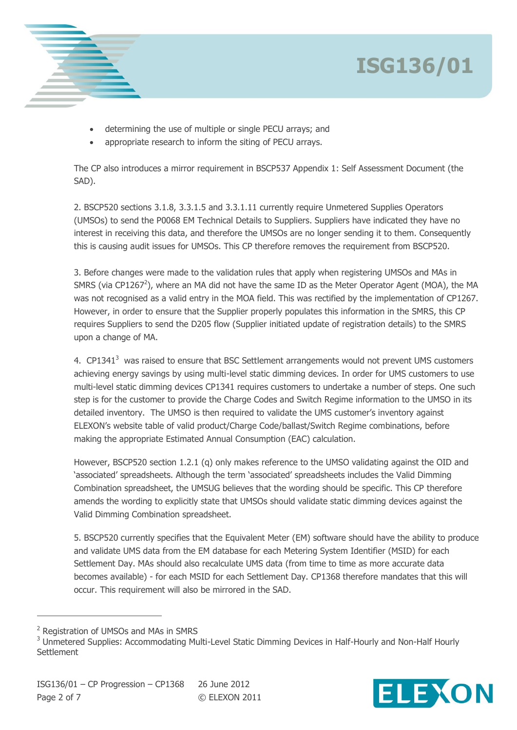



- determining the use of multiple or single PECU arrays; and
- appropriate research to inform the siting of PECU arrays.

The CP also introduces a mirror requirement in BSCP537 Appendix 1: Self Assessment Document (the SAD).

2. BSCP520 sections 3.1.8, 3.3.1.5 and 3.3.1.11 currently require Unmetered Supplies Operators (UMSOs) to send the P0068 EM Technical Details to Suppliers. Suppliers have indicated they have no interest in receiving this data, and therefore the UMSOs are no longer sending it to them. Consequently this is causing audit issues for UMSOs. This CP therefore removes the requirement from BSCP520.

3. Before changes were made to the validation rules that apply when registering UMSOs and MAs in SMRS (via CP1267<sup>2</sup>), where an MA did not have the same ID as the Meter Operator Agent (MOA), the MA was not recognised as a valid entry in the MOA field. This was rectified by the implementation of CP1267. However, in order to ensure that the Supplier properly populates this information in the SMRS, this CP requires Suppliers to send the D205 flow (Supplier initiated update of registration details) to the SMRS upon a change of MA.

4.  $CP1341<sup>3</sup>$  was raised to ensure that BSC Settlement arrangements would not prevent UMS customers achieving energy savings by using multi-level static dimming devices. In order for UMS customers to use multi-level static dimming devices CP1341 requires customers to undertake a number of steps. One such step is for the customer to provide the Charge Codes and Switch Regime information to the UMSO in its detailed inventory. The UMSO is then required to validate the UMS customer's inventory against ELEXON's website table of valid product/Charge Code/ballast/Switch Regime combinations, before making the appropriate Estimated Annual Consumption (EAC) calculation.

However, BSCP520 section 1.2.1 (q) only makes reference to the UMSO validating against the OID and 'associated' spreadsheets. Although the term 'associated' spreadsheets includes the Valid Dimming Combination spreadsheet, the UMSUG believes that the wording should be specific. This CP therefore amends the wording to explicitly state that UMSOs should validate static dimming devices against the Valid Dimming Combination spreadsheet.

5. BSCP520 currently specifies that the Equivalent Meter (EM) software should have the ability to produce and validate UMS data from the EM database for each Metering System Identifier (MSID) for each Settlement Day. MAs should also recalculate UMS data (from time to time as more accurate data becomes available) - for each MSID for each Settlement Day. CP1368 therefore mandates that this will occur. This requirement will also be mirrored in the SAD.

 $\overline{a}$ 



<sup>2</sup> Registration of UMSOs and MAs in SMRS

<sup>&</sup>lt;sup>3</sup> Unmetered Supplies: Accommodating Multi-Level Static Dimming Devices in Half-Hourly and Non-Half Hourly **Settlement**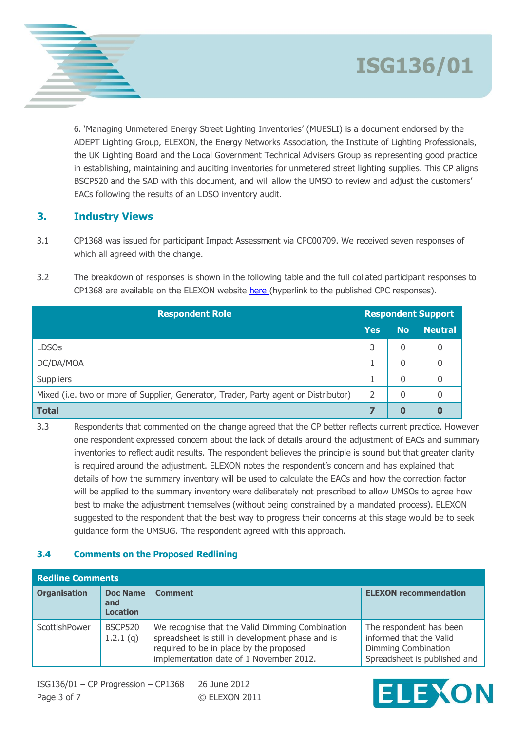6. 'Managing Unmetered Energy Street Lighting Inventories' (MUESLI) is a document endorsed by the ADEPT Lighting Group, ELEXON, the Energy Networks Association, the Institute of Lighting Professionals, the UK Lighting Board and the Local Government Technical Advisers Group as representing good practice in establishing, maintaining and auditing inventories for unmetered street lighting supplies. This CP aligns BSCP520 and the SAD with this document, and will allow the UMSO to review and adjust the customers' EACs following the results of an LDSO inventory audit.

### **3. Industry Views**

- 3.1 CP1368 was issued for participant Impact Assessment via CPC00709. We received seven responses of which all agreed with the change.
- 3.2 The breakdown of responses is shown in the following table and the full collated participant responses to CP1368 are available on the ELEXON website here (hyperlink to the published CPC responses).

| <b>Respondent Role</b>                                                              | <b>Respondent Support</b> |                |                |
|-------------------------------------------------------------------------------------|---------------------------|----------------|----------------|
|                                                                                     | <b>Yes</b>                | <b>No</b>      | <b>Neutral</b> |
| <b>LDSOs</b>                                                                        | 3                         | 0              | 0              |
| DC/DA/MOA                                                                           |                           | 0              | 0              |
| <b>Suppliers</b>                                                                    |                           | 0              | 0              |
| Mixed (i.e. two or more of Supplier, Generator, Trader, Party agent or Distributor) | 2                         | $\overline{0}$ | 0              |
| <b>Total</b>                                                                        |                           | 0              | 0              |

3.3 Respondents that commented on the change agreed that the CP better reflects current practice. However one respondent expressed concern about the lack of details around the adjustment of EACs and summary inventories to reflect audit results. The respondent believes the principle is sound but that greater clarity is required around the adjustment. ELEXON notes the respondent's concern and has explained that details of how the summary inventory will be used to calculate the EACs and how the correction factor will be applied to the summary inventory were deliberately not prescribed to allow UMSOs to agree how best to make the adjustment themselves (without being constrained by a mandated process). ELEXON suggested to the respondent that the best way to progress their concerns at this stage would be to seek guidance form the UMSUG. The respondent agreed with this approach.

#### **3.4 Comments on the Proposed Redlining**

| <b>Redline Comments</b> |                                           |                                                                                                                                                                                           |                                                                                                           |
|-------------------------|-------------------------------------------|-------------------------------------------------------------------------------------------------------------------------------------------------------------------------------------------|-----------------------------------------------------------------------------------------------------------|
| <b>Organisation</b>     | <b>Doc Name</b><br>and<br><b>Location</b> | <b>Comment</b>                                                                                                                                                                            | <b>ELEXON recommendation</b>                                                                              |
| ScottishPower           | <b>BSCP520</b><br>1.2.1(q)                | We recognise that the Valid Dimming Combination<br>spreadsheet is still in development phase and is<br>required to be in place by the proposed<br>implementation date of 1 November 2012. | The respondent has been<br>informed that the Valid<br>Dimming Combination<br>Spreadsheet is published and |

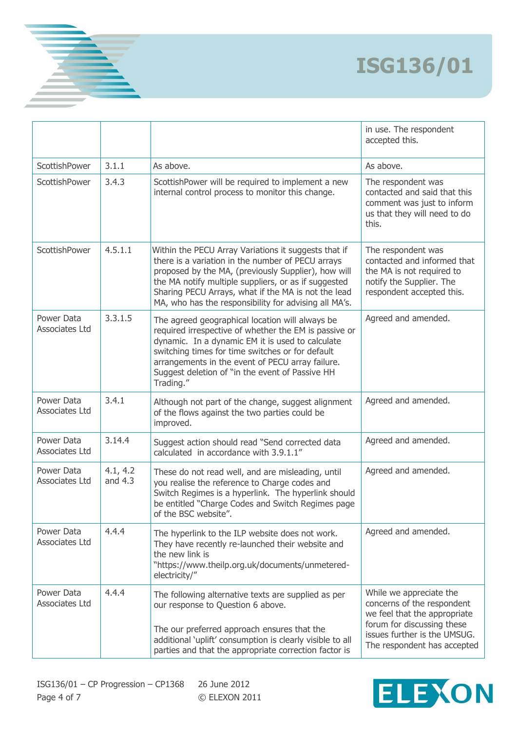|                              |                       |                                                                                                                                                                                                                                                                                                                                          | in use. The respondent<br>accepted this.                                                                                                                                           |
|------------------------------|-----------------------|------------------------------------------------------------------------------------------------------------------------------------------------------------------------------------------------------------------------------------------------------------------------------------------------------------------------------------------|------------------------------------------------------------------------------------------------------------------------------------------------------------------------------------|
| ScottishPower                | 3.1.1                 | As above.                                                                                                                                                                                                                                                                                                                                | As above.                                                                                                                                                                          |
| ScottishPower                | 3.4.3                 | ScottishPower will be required to implement a new<br>internal control process to monitor this change.                                                                                                                                                                                                                                    | The respondent was<br>contacted and said that this<br>comment was just to inform<br>us that they will need to do<br>this.                                                          |
| ScottishPower                | 4.5.1.1               | Within the PECU Array Variations it suggests that if<br>there is a variation in the number of PECU arrays<br>proposed by the MA, (previously Supplier), how will<br>the MA notify multiple suppliers, or as if suggested<br>Sharing PECU Arrays, what if the MA is not the lead<br>MA, who has the responsibility for advising all MA's. | The respondent was<br>contacted and informed that<br>the MA is not required to<br>notify the Supplier. The<br>respondent accepted this.                                            |
| Power Data<br>Associates Ltd | 3.3.1.5               | The agreed geographical location will always be<br>required irrespective of whether the EM is passive or<br>dynamic. In a dynamic EM it is used to calculate<br>switching times for time switches or for default<br>arrangements in the event of PECU array failure.<br>Suggest deletion of "in the event of Passive HH<br>Trading."     | Agreed and amended.                                                                                                                                                                |
| Power Data<br>Associates Ltd | 3.4.1                 | Although not part of the change, suggest alignment<br>of the flows against the two parties could be<br>improved.                                                                                                                                                                                                                         | Agreed and amended.                                                                                                                                                                |
| Power Data<br>Associates Ltd | 3.14.4                | Suggest action should read "Send corrected data<br>calculated in accordance with 3.9.1.1"                                                                                                                                                                                                                                                | Agreed and amended.                                                                                                                                                                |
| Power Data<br>Associates Ltd | 4.1, 4.2<br>and $4.3$ | These do not read well, and are misleading, until<br>you realise the reference to Charge codes and<br>Switch Regimes is a hyperlink. The hyperlink should<br>be entitled "Charge Codes and Switch Regimes page<br>of the BSC website".                                                                                                   | Agreed and amended.                                                                                                                                                                |
| Power Data<br>Associates Ltd | 4.4.4                 | The hyperlink to the ILP website does not work.<br>They have recently re-launched their website and<br>the new link is<br>"https://www.theilp.org.uk/documents/unmetered-<br>electricity/"                                                                                                                                               | Agreed and amended.                                                                                                                                                                |
| Power Data<br>Associates Ltd | 4.4.4                 | The following alternative texts are supplied as per<br>our response to Question 6 above.<br>The our preferred approach ensures that the<br>additional 'uplift' consumption is clearly visible to all<br>parties and that the appropriate correction factor is                                                                            | While we appreciate the<br>concerns of the respondent<br>we feel that the appropriate<br>forum for discussing these<br>issues further is the UMSUG.<br>The respondent has accepted |

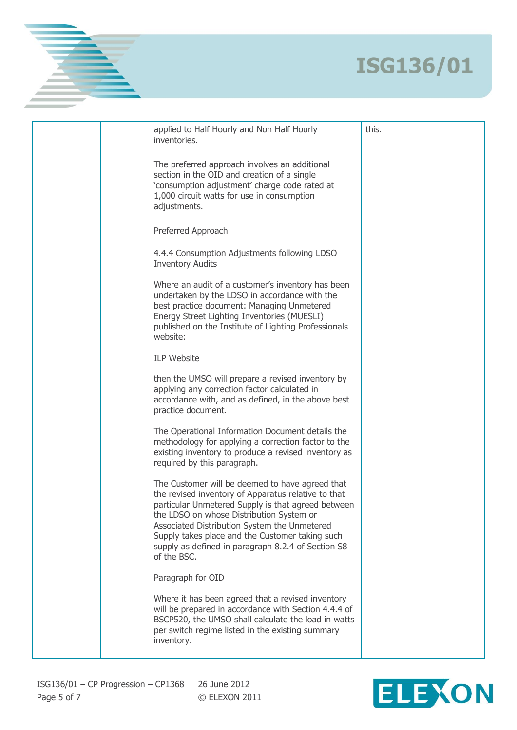|  | applied to Half Hourly and Non Half Hourly<br>inventories.                                                                                                                                                                                                                                                                                                                       | this. |
|--|----------------------------------------------------------------------------------------------------------------------------------------------------------------------------------------------------------------------------------------------------------------------------------------------------------------------------------------------------------------------------------|-------|
|  | The preferred approach involves an additional<br>section in the OID and creation of a single<br>'consumption adjustment' charge code rated at<br>1,000 circuit watts for use in consumption<br>adjustments.                                                                                                                                                                      |       |
|  | Preferred Approach                                                                                                                                                                                                                                                                                                                                                               |       |
|  | 4.4.4 Consumption Adjustments following LDSO<br><b>Inventory Audits</b>                                                                                                                                                                                                                                                                                                          |       |
|  | Where an audit of a customer's inventory has been<br>undertaken by the LDSO in accordance with the<br>best practice document: Managing Unmetered<br>Energy Street Lighting Inventories (MUESLI)<br>published on the Institute of Lighting Professionals<br>website:                                                                                                              |       |
|  | <b>ILP Website</b>                                                                                                                                                                                                                                                                                                                                                               |       |
|  | then the UMSO will prepare a revised inventory by<br>applying any correction factor calculated in<br>accordance with, and as defined, in the above best<br>practice document.                                                                                                                                                                                                    |       |
|  | The Operational Information Document details the<br>methodology for applying a correction factor to the<br>existing inventory to produce a revised inventory as<br>required by this paragraph.                                                                                                                                                                                   |       |
|  | The Customer will be deemed to have agreed that<br>the revised inventory of Apparatus relative to that<br>particular Unmetered Supply is that agreed between<br>the LDSO on whose Distribution System or<br>Associated Distribution System the Unmetered<br>Supply takes place and the Customer taking such<br>supply as defined in paragraph 8.2.4 of Section S8<br>of the BSC. |       |
|  | Paragraph for OID                                                                                                                                                                                                                                                                                                                                                                |       |
|  | Where it has been agreed that a revised inventory<br>will be prepared in accordance with Section 4.4.4 of<br>BSCP520, the UMSO shall calculate the load in watts<br>per switch regime listed in the existing summary<br>inventory.                                                                                                                                               |       |
|  |                                                                                                                                                                                                                                                                                                                                                                                  |       |

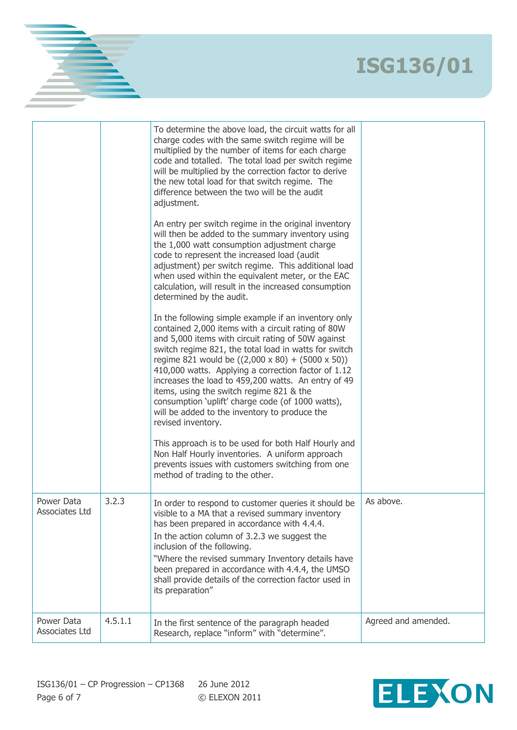|                              |         | To determine the above load, the circuit watts for all<br>charge codes with the same switch regime will be<br>multiplied by the number of items for each charge<br>code and totalled. The total load per switch regime<br>will be multiplied by the correction factor to derive<br>the new total load for that switch regime. The<br>difference between the two will be the audit<br>adjustment.<br>An entry per switch regime in the original inventory<br>will then be added to the summary inventory using<br>the 1,000 watt consumption adjustment charge<br>code to represent the increased load (audit<br>adjustment) per switch regime. This additional load<br>when used within the equivalent meter, or the EAC<br>calculation, will result in the increased consumption<br>determined by the audit.<br>In the following simple example if an inventory only<br>contained 2,000 items with a circuit rating of 80W<br>and 5,000 items with circuit rating of 50W against<br>switch regime 821, the total load in watts for switch<br>regime 821 would be $((2,000 \times 80) + (5000 \times 50))$<br>410,000 watts. Applying a correction factor of 1.12<br>increases the load to 459,200 watts. An entry of 49<br>items, using the switch regime 821 & the<br>consumption 'uplift' charge code (of 1000 watts),<br>will be added to the inventory to produce the<br>revised inventory.<br>This approach is to be used for both Half Hourly and<br>Non Half Hourly inventories. A uniform approach<br>prevents issues with customers switching from one<br>method of trading to the other. |                     |
|------------------------------|---------|-----------------------------------------------------------------------------------------------------------------------------------------------------------------------------------------------------------------------------------------------------------------------------------------------------------------------------------------------------------------------------------------------------------------------------------------------------------------------------------------------------------------------------------------------------------------------------------------------------------------------------------------------------------------------------------------------------------------------------------------------------------------------------------------------------------------------------------------------------------------------------------------------------------------------------------------------------------------------------------------------------------------------------------------------------------------------------------------------------------------------------------------------------------------------------------------------------------------------------------------------------------------------------------------------------------------------------------------------------------------------------------------------------------------------------------------------------------------------------------------------------------------------------------------------------------------------------------------------------|---------------------|
| Power Data<br>Associates Ltd | 3.2.3   | In order to respond to customer queries it should be<br>visible to a MA that a revised summary inventory<br>has been prepared in accordance with 4.4.4.<br>In the action column of 3.2.3 we suggest the<br>inclusion of the following.<br>"Where the revised summary Inventory details have<br>been prepared in accordance with 4.4.4, the UMSO<br>shall provide details of the correction factor used in<br>its preparation"                                                                                                                                                                                                                                                                                                                                                                                                                                                                                                                                                                                                                                                                                                                                                                                                                                                                                                                                                                                                                                                                                                                                                                       | As above.           |
| Power Data<br>Associates Ltd | 4.5.1.1 | In the first sentence of the paragraph headed<br>Research, replace "inform" with "determine".                                                                                                                                                                                                                                                                                                                                                                                                                                                                                                                                                                                                                                                                                                                                                                                                                                                                                                                                                                                                                                                                                                                                                                                                                                                                                                                                                                                                                                                                                                       | Agreed and amended. |